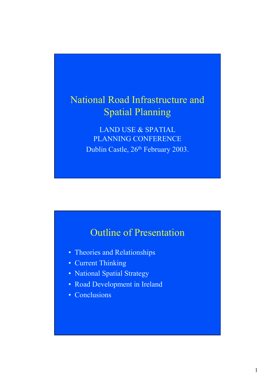## National Road Infrastructure and Spatial Planning

LAND USE & SPATIAL PLANNING CONFERENCE Dublin Castle, 26th February 2003.

## Outline of Presentation

- Theories and Relationships
- Current Thinking
- National Spatial Strategy
- Road Development in Ireland
- Conclusions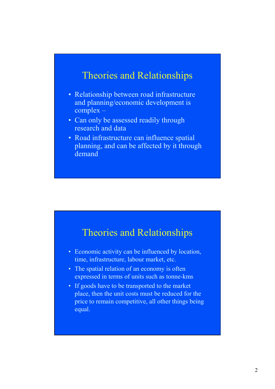#### Theories and Relationships

- Relationship between road infrastructure and planning/economic development is complex –
- Can only be assessed readily through research and data
- Road infrastructure can influence spatial planning, and can be affected by it through demand

#### Theories and Relationships

- Economic activity can be influenced by location, time, infrastructure, labour market, etc.
- The spatial relation of an economy is often expressed in terms of units such as tonne-kms
- If goods have to be transported to the market place, then the unit costs must be reduced for the price to remain competitive, all other things being equal.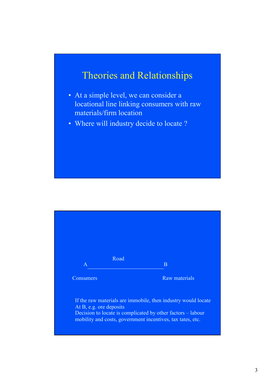## Theories and Relationships

- At a simple level, we can consider a locational line linking consumers with raw materials/firm location
- Where will industry decide to locate ?

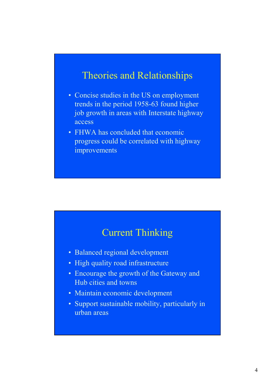#### Theories and Relationships

- Concise studies in the US on employment trends in the period 1958-63 found higher job growth in areas with Interstate highway access
- FHWA has concluded that economic progress could be correlated with highway improvements

#### Current Thinking

- Balanced regional development
- High quality road infrastructure
- Encourage the growth of the Gateway and Hub cities and towns
- Maintain economic development
- Support sustainable mobility, particularly in urban areas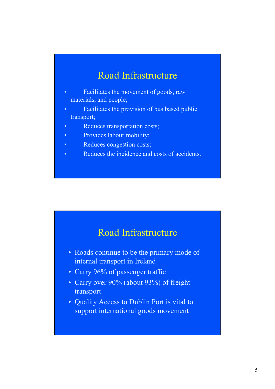## Road Infrastructure

- Facilitates the movement of goods, raw materials, and people;
- Facilitates the provision of bus based public transport;
- Reduces transportation costs;
- Provides labour mobility;
- Reduces congestion costs;
- Reduces the incidence and costs of accidents.

#### Road Infrastructure

- Roads continue to be the primary mode of internal transport in Ireland
- Carry 96% of passenger traffic
- Carry over 90% (about 93%) of freight transport
- Quality Access to Dublin Port is vital to support international goods movement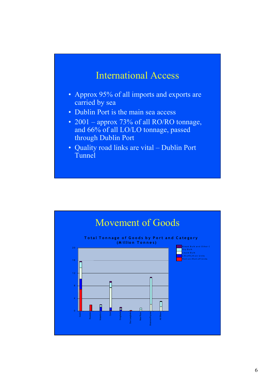

- Approx 95% of all imports and exports are carried by sea
- Dublin Port is the main sea access
- 2001 approx 73% of all RO/RO tonnage, and 66% of all LO/LO tonnage, passed through Dublin Port
- Quality road links are vital Dublin Port Tunnel

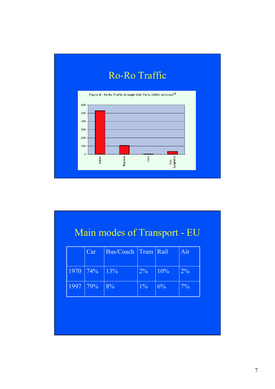

# Main modes of Transport - EU

|            | Car | Bus/Coach Tram Rail |       |       | Air   |
|------------|-----|---------------------|-------|-------|-------|
| 1970 74%   |     | $ 13\% $            | $2\%$ | 10%   | $2\%$ |
| 1997   79% |     | 8%                  | $1\%$ | $6\%$ | $7\%$ |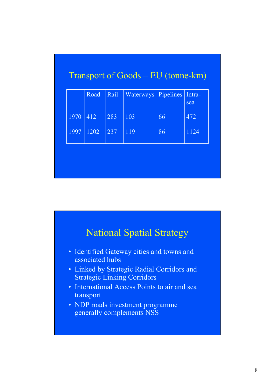|      | Road | Rail | Waterways | Pipelines | Intra-<br>sea |
|------|------|------|-----------|-----------|---------------|
| 1970 | 412  | 283  | 103       | 66        | 472           |
| 1997 | 1202 | 237  | 119       | 86        | 1124          |

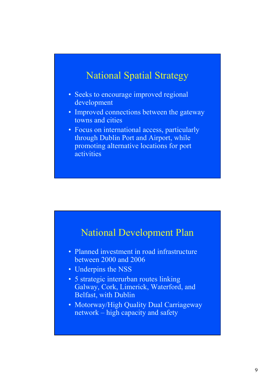## National Spatial Strategy

- Seeks to encourage improved regional development
- Improved connections between the gateway towns and cities
- Focus on international access, particularly through Dublin Port and Airport, while promoting alternative locations for port activities



- Planned investment in road infrastructure between 2000 and 2006
- Underpins the NSS
- 5 strategic interurban routes linking Galway, Cork, Limerick, Waterford, and Belfast, with Dublin
- Motorway/High Quality Dual Carriageway network – high capacity and safety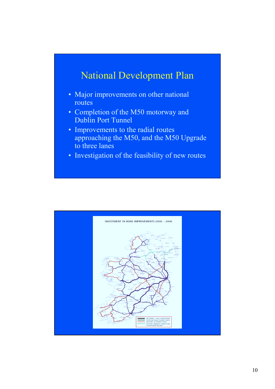## National Development Plan

- Major improvements on other national routes
- Completion of the M50 motorway and Dublin Port Tunnel
- Improvements to the radial routes approaching the M50, and the M50 Upgrade to three lanes
- Investigation of the feasibility of new routes